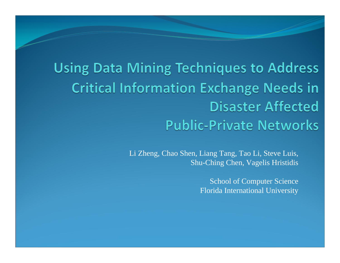**Using Data Mining Techniques to Address Critical Information Exchange Needs in Disaster Affected Public-Private Networks** 

> Li Zheng, Chao Shen, Liang Tang, Tao Li, Steve Luis, Shu-Ching Chen, Vagelis Hristidis

> > School of Computer Science Florida International University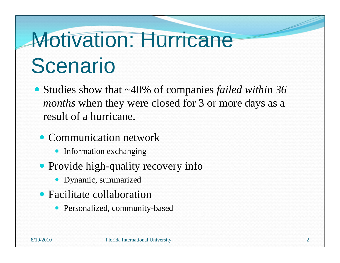# Motivation: Hurricane **Scenario**

- Studies show that ~40% of companies *failed within 36 months* when they were closed for 3 or more days as a result of a hurricane.
	- Communication network
		- Information exchanging
	- Provide high-quality recovery info
		- Dynamic, summarized
	- Facilitate collaboration
		- Personalized, community-based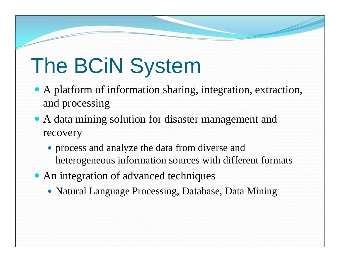### The BCiN System

- A platform of information sharing, integration, extraction, and processing
- A data mining solution for disaster management and recovery
	- process and analyze the data from diverse and heterogeneous information sources with different formats
- An integration of advanced techniques
	- Natural Language Processing, Database, Data Mining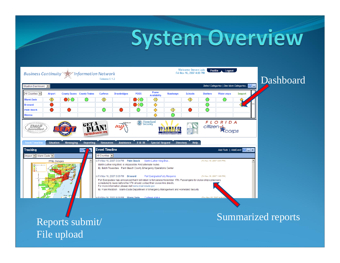### **System Overview**



Summarized reports Reports submit/

File upload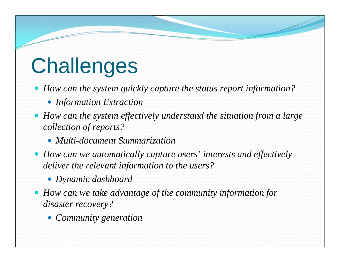### **Challenges**

*How can the system quickly capture the status report information?*

- *Information Extraction*
- *How can the system effectively understand the situation from a large collection of reports?*
	- *Multi-document Summarization*
- *How can we automatically capture users' interests and effectively deliver the relevant information to the users?*
	- *Dynamic dashboard*
- *How can we take advantage of the community information for disaster recovery?*
	- *Community generation*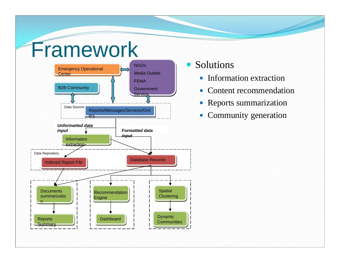### Framework



- Solutions
	- $\bullet$ Information extraction
	- $\bullet$ Content recommendation
	- Reports summarization
	- Community generation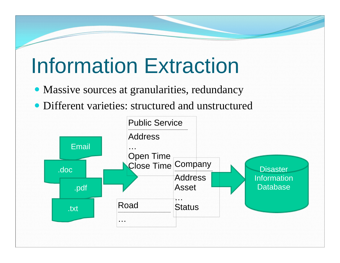### Information Extraction

- Massive sources at granularities, redundancy
- Different varieties: structured and unstructured

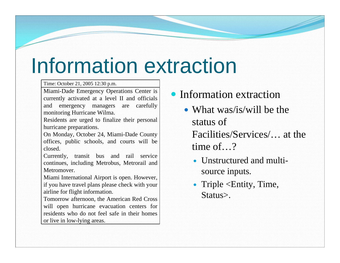### Information extraction

Time: October 21, 2005 12:30 p.m.

Miami-Dade Emergency Operations Center is currently activated at a level II and officials and emergency managers are carefully monitoring Hurricane Wilma.

Residents are urged to finalize their personal hurricane preparations.

On Monday, October 24, Miami-Dade County offices, public schools, and courts will be closed.

Currently, transit bus and rail service continues, including Metrobus, Metrorail and Metromover.

Miami International Airport is open. However, if you have travel plans please check with your airline for flight information.

Tomorrow afternoon, the American Red Cross will open hurricane evacuation centers for residents who do not feel safe in their homes or live in low-lying areas.

- Information extraction
	- What was/is/will be the status of Facilities/Services/… at the time of…?
		- Unstructured and multisource inputs.
		- Triple <Entity, Time, Status>.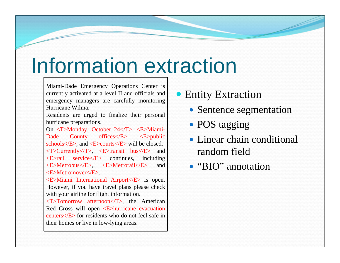### Information extraction

Miami-Dade Emergency Operations Center is currently activated at a level II and officials and emergency managers are carefully monitoring Hurricane Wilma.

Residents are urged to finalize their personal hurricane preparations.

On <T>Monday, October 24</T>, <E>Miami-Dade County offices </E>, <E>public schools $\langle E \rangle$ , and  $\langle E \rangle$  courts $\langle E \rangle$  will be closed.  $\langle$ T>Currently $\langle$ T>,  $\langle$ E>transit bus $\langle$ E> and <E>rail service</E> continues, including <E>Metrobus</E>, <E>Metrorail</E> and <E>Metromover</E>.

<E>Miami International Airport</E> is open. However, if you have travel plans please check with your airline for flight information.

<T>Tomorrow afternoon</T>, the American Red Cross will open <E>hurricane evacuation centers</E> for residents who do not feel safe in their homes or live in low-lying areas.

#### **• Entity Extraction**

- Sentence segmentation
- POS tagging
- Linear chain conditional random field
- "BIO" annotation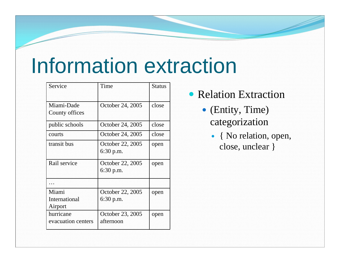### Information extraction

| Service            | Time                            | <b>Status</b> |  |
|--------------------|---------------------------------|---------------|--|
| Miami-Dade         | October 24, 2005                | close         |  |
| County offices     |                                 |               |  |
| public schools     | October 24, 2005                | close         |  |
| courts             | October 24, 2005                | close         |  |
| transit bus        | October 22, 2005<br>$6:30$ p.m. | open          |  |
| Rail service       | October 22, 2005<br>$6:30$ p.m. | open          |  |
|                    |                                 |               |  |
| Miami              | October 22, 2005                | open          |  |
| International      | $6:30$ p.m.                     |               |  |
| Airport            |                                 |               |  |
| hurricane          | October 23, 2005                | open          |  |
| evacuation centers | afternoon                       |               |  |

- Relation Extraction
	- (Entity, Time) categorization
		- { No relation, open, close, unclear }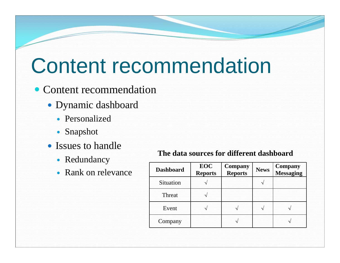### Content recommendation

#### • Content recommendation

- Dynamic dashboard
	- Personalized
	- Snapshot
- Issues to handle
	- Redundancy
	-

#### **The data sources for different dashboard**

| <i>iversitions</i><br>• Rank on relevance | <b>Dashboard</b> | EOC<br><b>Reports</b> | <b>Company</b><br><b>Reports</b> | <b>News</b>                | <b>Company</b><br>Messaging |
|-------------------------------------------|------------------|-----------------------|----------------------------------|----------------------------|-----------------------------|
|                                           | Situation        |                       |                                  |                            |                             |
|                                           | Threat           | $\sim$                |                                  |                            |                             |
|                                           | Event            | $\sim$                | $\sim$                           | $\boldsymbol{\mathcal{A}}$ | $\sim$                      |
|                                           | Company          |                       | $\sim$                           |                            | $\mathcal{N}$               |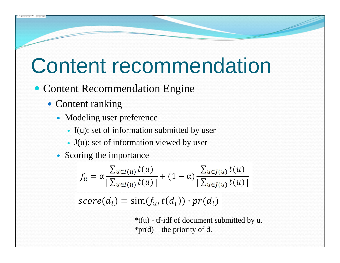### Content recommendation

#### • Content Recommendation Engine

- Content ranking
	- Modeling user preference
		- I(u): set of information submitted by user
		- J(u): set of information viewed by user
	- Scoring the importance

$$
f_u = \alpha \frac{\sum_{u \in I(u)} t(u)}{|\sum_{u \in I(u)} t(u)|} + (1 - \alpha) \frac{\sum_{u \in J(u)} t(u)}{|\sum_{u \in J(u)} t(u)|}
$$

$$
score(d_i) = \text{sim}(f_u, t(d_i)) \cdot pr(d_i)
$$

 $*$ t(u) - tf-idf of document submitted by u. \*pr(d) – the priority of d.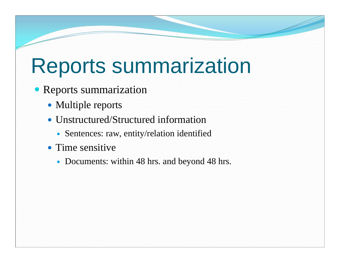### Reports summarization

- Reports summarization
	- Multiple reports
	- Unstructured/Structured information
		- Sentences: raw, entity/relation identified
	- Time sensitive
		- Documents: within 48 hrs. and beyond 48 hrs.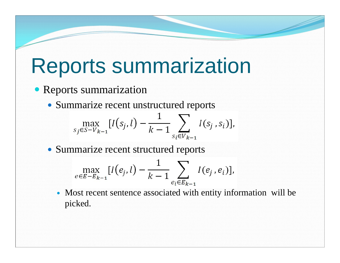### Reports summarization

#### Reports summarization

Summarize recent unstructured reports

$$
\max_{s_j \in S - V_{k-1}} [I(s_j, l) - \frac{1}{k-1} \sum_{s_i \in V_{k-1}} I(s_j, s_i)],
$$

• Summarize recent structured reports

$$
\max_{e \in E - E_{k-1}} [I(e_j, l) - \frac{1}{k-1} \sum_{e_i \in E_{k-1}} I(e_j, e_i)],
$$

 Most recent sentence associated with entity information will be picked.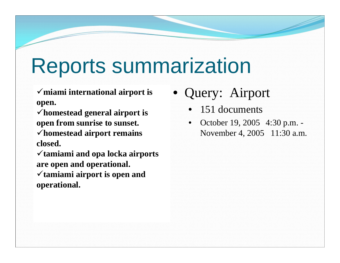### Reports summarization

**miami international airport is open.** 

**homestead general airport is open from sunrise to sunset. homestead airport remains closed.** 

**tamiami and opa locka airports are open and operational.** 

**tamiami airport is open and operational.**

- Query: Airport
	- 151 documents
	- October 19, 2005 4:30 p.m. November 4, 2005 11:30 a.m.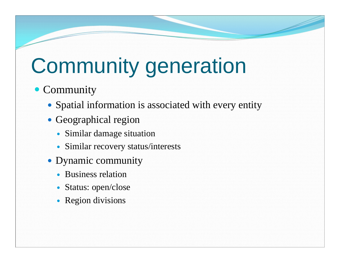## Community generation

### • Community

- Spatial information is associated with every entity
- Geographical region
	- Similar damage situation
	- Similar recovery status/interests
- Dynamic community
	- Business relation
	- Status: open/close
	- Region divisions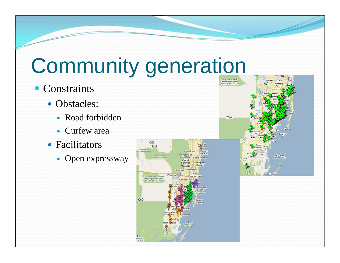### Community generation

- Constraints
	- Obstacles:
		- Road forbidden
		- Curfew area
	- Facilitators
		- Open expressway



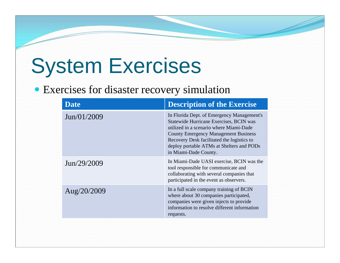### System Exercises

#### Exercises for disaster recovery simulation

| <b>Date</b> | <b>Description of the Exercise</b>                                                                                                                                                                                                                                                                  |
|-------------|-----------------------------------------------------------------------------------------------------------------------------------------------------------------------------------------------------------------------------------------------------------------------------------------------------|
| Jun/01/2009 | In Florida Dept. of Emergency Management's<br>Statewide Hurricane Exercises, BCIN was<br>utilized in a scenario where Miami-Dade<br><b>County Emergency Management Business</b><br>Recovery Desk facilitated the logistics to<br>deploy portable ATMs at Shelters and PODs<br>in Miami-Dade County. |
| Jun/29/2009 | In Miami-Dade UASI exercise, BCIN was the<br>tool responsible for communicate and<br>collaborating with several companies that<br>participated in the event as observers.                                                                                                                           |
| Aug/20/2009 | In a full scale company training of BCIN<br>where about 30 companies participated,<br>companies were given injects to provide<br>information to resolve different information<br>requests.                                                                                                          |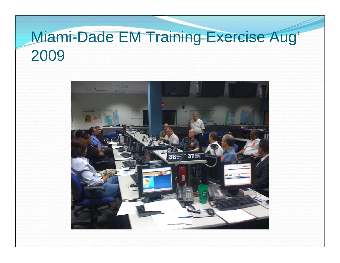### Miami-Dade EM Training Exercise Aug' 2009

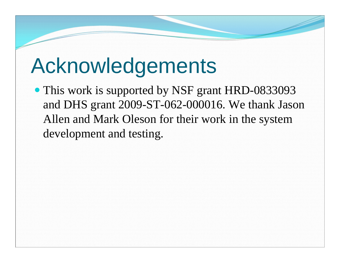### Acknowledgements

• This work is supported by NSF grant HRD-0833093 and DHS grant 2009-ST-062-000016. We thank Jason Allen and Mark Oleson for their work in the system development and testing.